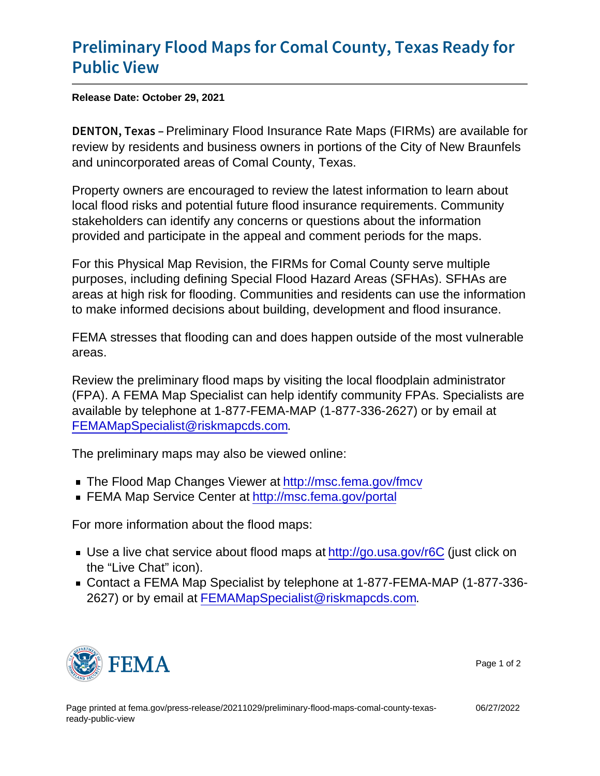## [Preliminary Flood Maps for Comal C](https://www.fema.gov/press-release/20211029/preliminary-flood-maps-comal-county-texas-ready-public-view)ounty, [Public](https://www.fema.gov/press-release/20211029/preliminary-flood-maps-comal-county-texas-ready-public-view) View

Release Date: October 29, 2021

DENTON, Peekimainary Flood Insurance Rate Maps (FIRMs) are available for review by residents and business owners in portions of the City of New Braunfels and unincorporated areas of Comal County, Texas.

Property owners are encouraged to review the latest information to learn about local flood risks and potential future flood insurance requirements. Community stakeholders can identify any concerns or questions about the information provided and participate in the appeal and comment periods for the maps.

For this Physical Map Revision, the FIRMs for Comal County serve multiple purposes, including defining Special Flood Hazard Areas (SFHAs). SFHAs are areas at high risk for flooding. Communities and residents can use the information to make informed decisions about building, development and flood insurance.

FEMA stresses that flooding can and does happen outside of the most vulnerable areas.

Review the preliminary flood maps by visiting the local floodplain administrator (FPA). A FEMA Map Specialist can help identify community FPAs. Specialists are available by telephone at 1-877-FEMA-MAP (1-877-336-2627) or by email at [FEMAMapSpecialist@riskmapcds.com](mailto:FEMAMapSpecialist@riskmapcds.com).

The preliminary maps may also be viewed online:

- The Flood Map Changes Viewer at<http://msc.fema.gov/fmcv>
- FEMA Map Service Center at<http://msc.fema.gov/portal>

For more information about the flood maps:

- Use a live chat service about flood maps at<http://go.usa.gov/r6C> (just click on the "Live Chat" icon).
- Contact a FEMA Map Specialist by telephone at 1-877-FEMA-MAP (1-877-336- 2627) or by email at [FEMAMapSpecialist@riskmapcds.com.](mailto:FEMAMapSpecialist@riskmapcds.com)